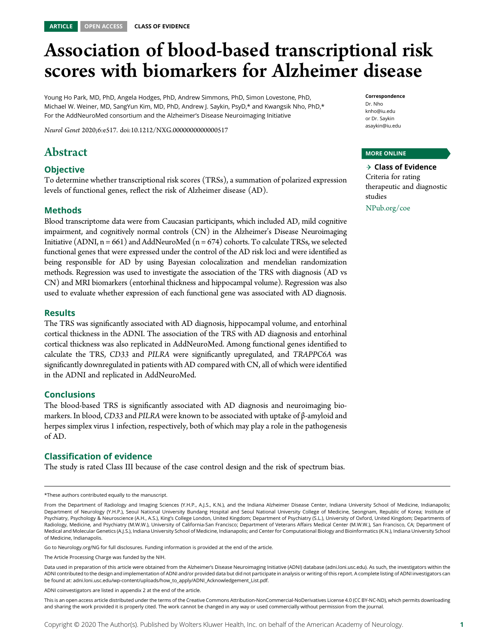# Association of blood-based transcriptional risk scores with biomarkers for Alzheimer disease

Young Ho Park, MD, PhD, Angela Hodges, PhD, Andrew Simmons, PhD, Simon Lovestone, PhD, Michael W. Weiner, MD, SangYun Kim, MD, PhD, Andrew J. Saykin, PsyD,\* and Kwangsik Nho, PhD,\* For the AddNeuroMed consortium and the Alzheimer's Disease Neuroimaging Initiative

Neurol Genet 2020;6:e517. doi:[10.1212/NXG.0000000000000517](http://dx.doi.org/10.1212/NXG.0000000000000517)

# Abstract

# **Objective**

To determine whether transcriptional risk scores (TRSs), a summation of polarized expression levels of functional genes, reflect the risk of Alzheimer disease (AD).

# Methods

Blood transcriptome data were from Caucasian participants, which included AD, mild cognitive impairment, and cognitively normal controls (CN) in the Alzheimer's Disease Neuroimaging Initiative (ADNI,  $n = 661$ ) and AddNeuroMed ( $n = 674$ ) cohorts. To calculate TRSs, we selected functional genes that were expressed under the control of the AD risk loci and were identified as being responsible for AD by using Bayesian colocalization and mendelian randomization methods. Regression was used to investigate the association of the TRS with diagnosis (AD vs CN) and MRI biomarkers (entorhinal thickness and hippocampal volume). Regression was also used to evaluate whether expression of each functional gene was associated with AD diagnosis.

# **Results**

The TRS was significantly associated with AD diagnosis, hippocampal volume, and entorhinal cortical thickness in the ADNI. The association of the TRS with AD diagnosis and entorhinal cortical thickness was also replicated in AddNeuroMed. Among functional genes identified to calculate the TRS, CD33 and PILRA were significantly upregulated, and TRAPPC6A was significantly downregulated in patients with AD compared with CN, all of which were identified in the ADNI and replicated in AddNeuroMed.

# Conclusions

The blood-based TRS is significantly associated with AD diagnosis and neuroimaging biomarkers. In blood, CD33 and PILRA were known to be associated with uptake of <sup>β</sup>-amyloid and herpes simplex virus 1 infection, respectively, both of which may play a role in the pathogenesis of AD.

# Classification of evidence

The study is rated Class III because of the case control design and the risk of spectrum bias.

Correspondence Dr. Nho

[knho@iu.edu](mailto:knho@iu.edu) or Dr. Saykin [asaykin@iu.edu](mailto:asaykin@iu.edu)

### MORE ONLINE

 $\rightarrow$  Class of Evidence Criteria for rating therapeutic and diagnostic studies [NPub.org/coe](http://NPub.org/coe)

<sup>\*</sup>These authors contributed equally to the manuscript.

From the Department of Radiology and Imaging Sciences (Y.H.P., A.J.S., K.N.), and the Indiana Alzheimer Disease Center, Indiana University School of Medicine, Indianapolis; Department of Neurology (Y.H.P.), Seoul National University Bundang Hospital and Seoul National University College of Medicine, Seongnam, Republic of Korea; Institute of Psychiatry, Psychology & Neuroscience (A.H., A.S.), King's College London, United Kingdom; Department of Psychiatry (S.L.), University of Oxford, United Kingdom; Departments of Radiology, Medicine, and Psychiatry (M.W.W.), University of California-San Francisco; Department of Veterans Affairs Medical Center (M.W.W.), San Francisco, CA; Department of Medical and Molecular Genetics (A.J.S.), Indiana University School of Medicine, Indianapolis; and Center for Computational Biology and Bioinformatics (K.N.), Indiana University School of Medicine, Indianapolis.

Go to [Neurology.org/NG](https://ng.neurology.org/content/6/6/e517/tab-article-info) for full disclosures. Funding information is provided at the end of the article.

The Article Processing Charge was funded by the NIH.

Data used in preparation of this article were obtained from the Alzheimer's Disease Neuroimaging Initiative (ADNI) database [\(adni.loni.usc.edu\)](http://adni.loni.usc.edu). As such, the investigators within the ADNI contributed to the design and implementation of ADNI and/or provided data but did not participate in analysis or writing of this report. A complete listing of ADNI investigators can be found at: [adni.loni.usc.edu/wp-content/uploads/how\\_to\\_apply/ADNI\\_Acknowledgement\\_List.pdf](http://adni.loni.usc.edu/wp-content/uploads/how_to_apply/ADNI_Acknowledgement_List.pdf).

ADNI coinvestigators are listed in appendix 2 at the end of the article.

This is an open access article distributed under the terms of the [Creative Commons Attribution-NonCommercial-NoDerivatives License 4.0 \(CC BY-NC-ND\),](http://creativecommons.org/licenses/by-nc-nd/4.0/) which permits downloading and sharing the work provided it is properly cited. The work cannot be changed in any way or used commercially without permission from the journal.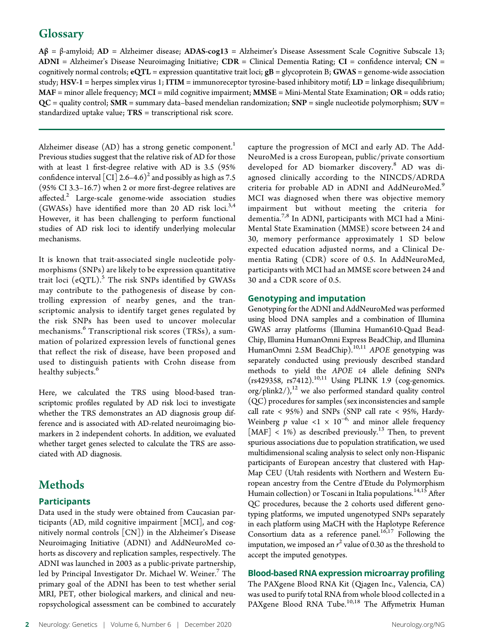# **Glossary**

 $\mathbf{A}\beta = \beta$ -amyloid;  $\mathbf{A}\mathbf{D} = \mathbf{A}$ lzheimer disease;  $\mathbf{A}\mathbf{D}\mathbf{A}\mathbf{S}\text{-}\mathbf{c}\mathbf{o}$ g13 = Alzheimer's Disease Assessment Scale Cognitive Subscale 13;  $\bf ADNI$  = Alzheimer's Disease Neuroimaging Initiative;  $\bf CDR$  = Clinical Dementia Rating;  $\bf CI$  = confidence interval;  $\bf CN$  = cognitively normal controls;  $eQTL$  = expression quantitative trait loci;  $gB =$  glycoprotein B; GWAS = genome-wide association study; HSV-1 = herpes simplex virus 1; ITIM = immunoreceptor tyrosine-based inhibitory motif; LD = linkage disequilibrium; MAF = minor allele frequency; MCI = mild cognitive impairment; MMSE = Mini-Mental State Examination; OR = odds ratio;  $QC$  = quality control; SMR = summary data–based mendelian randomization; SNP = single nucleotide polymorphism; SUV = standardized uptake value;  $TRS =$  transcriptional risk score.

Alzheimer disease  $(AD)$  has a strong genetic component.<sup>1</sup> Previous studies suggest that the relative risk of AD for those with at least 1 first-degree relative with AD is 3.5 (95% confidence interval [CI] 2.6–4.6)<sup>2</sup> and possibly as high as 7.5 (95% CI 3.3–16.7) when 2 or more first-degree relatives are affected.<sup>2</sup> Large-scale genome-wide association studies (GWASs) have identified more than 20 AD risk loci. $3,4$ However, it has been challenging to perform functional studies of AD risk loci to identify underlying molecular mechanisms.

It is known that trait-associated single nucleotide polymorphisms (SNPs) are likely to be expression quantitative trait loci (eQTL).<sup>5</sup> The risk SNPs identified by GWASs may contribute to the pathogenesis of disease by controlling expression of nearby genes, and the transcriptomic analysis to identify target genes regulated by the risk SNPs has been used to uncover molecular mechanisms.<sup>6</sup> Transcriptional risk scores (TRSs), a summation of polarized expression levels of functional genes that reflect the risk of disease, have been proposed and used to distinguish patients with Crohn disease from healthy subjects.<sup>6</sup>

Here, we calculated the TRS using blood-based transcriptomic profiles regulated by AD risk loci to investigate whether the TRS demonstrates an AD diagnosis group difference and is associated with AD-related neuroimaging biomarkers in 2 independent cohorts. In addition, we evaluated whether target genes selected to calculate the TRS are associated with AD diagnosis.

# Methods

# **Participants**

Data used in the study were obtained from Caucasian participants (AD, mild cognitive impairment [MCI], and cognitively normal controls [CN]) in the Alzheimer's Disease Neuroimaging Initiative (ADNI) and AddNeuroMed cohorts as discovery and replication samples, respectively. The ADNI was launched in 2003 as a public-private partnership, led by Principal Investigator Dr. Michael W. Weiner.<sup>7</sup> The primary goal of the ADNI has been to test whether serial MRI, PET, other biological markers, and clinical and neuropsychological assessment can be combined to accurately capture the progression of MCI and early AD. The Add-NeuroMed is a cross European, public/private consortium developed for AD biomarker discovery.<sup>8</sup> AD was diagnosed clinically according to the NINCDS/ADRDA criteria for probable AD in ADNI and AddNeuroMed.<sup>9</sup> MCI was diagnosed when there was objective memory impairment but without meeting the criteria for dementia.7,8 In ADNI, participants with MCI had a Mini-Mental State Examination (MMSE) score between 24 and 30, memory performance approximately 1 SD below expected education adjusted norms, and a Clinical Dementia Rating (CDR) score of 0.5. In AddNeuroMed, participants with MCI had an MMSE score between 24 and 30 and a CDR score of 0.5.

# Genotyping and imputation

Genotyping for the ADNI and AddNeuroMed was performed using blood DNA samples and a combination of Illumina GWAS array platforms (Illumina Human610-Quad Bead-Chip, Illumina HumanOmni Express BeadChip, and Illumina HumanOmni 2.5M BeadChip).<sup>10,11</sup> APOE genotyping was separately conducted using previously described standard methods to yield the APOE <sup>e</sup>4 allele defining SNPs (rs429358, rs7412).10,11 Using PLINK 1.9 [\(cog-genomics.](http://www.cog-genomics.org/plink2/)  $\log/\text{plink2}/$ ),<sup>12</sup> we also performed standard quality control (QC) procedures for samples (sex inconsistencies and sample call rate < 95%) and SNPs (SNP call rate < 95%, Hardy-Weinberg *p* value <1 × 10<sup>-6,</sup> and minor allele frequency  $[MAF] < 1\%$ ) as described previously.<sup>13</sup> Then, to prevent spurious associations due to population stratification, we used multidimensional scaling analysis to select only non-Hispanic participants of European ancestry that clustered with Hap-Map CEU (Utah residents with Northern and Western European ancestry from the Centre d'Etude du Polymorphism Humain collection) or Toscani in Italia populations.<sup>14,15</sup> After QC procedures, because the 2 cohorts used different genotyping platforms, we imputed ungenotyped SNPs separately in each platform using MaCH with the Haplotype Reference Consortium data as a reference panel.<sup>16,17</sup> Following the imputation, we imposed an  $r^2$  value of 0.30 as the threshold to accent the imputed genotypes accept the imputed genotypes.

# Blood-based RNA expression microarray profiling

The PAXgene Blood RNA Kit (Qiagen Inc., Valencia, CA) was used to purify total RNA from whole blood collected in a PAXgene Blood RNA Tube.<sup>10,18</sup> The Affymetrix Human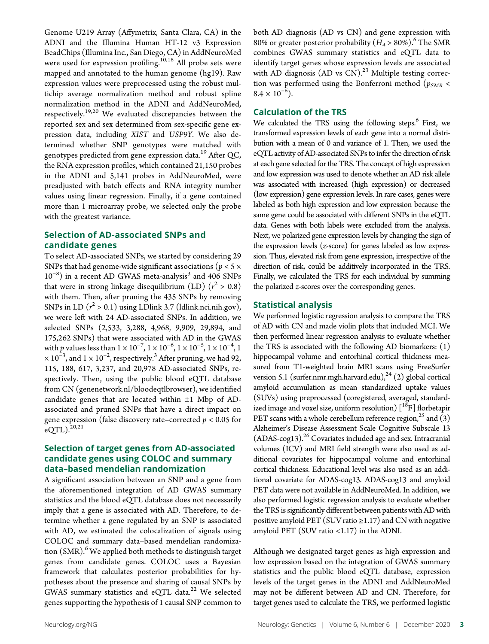Genome U219 Array (Affymetrix, Santa Clara, CA) in the ADNI and the Illumina Human HT-12 v3 Expression BeadChips (Illumina Inc., San Diego, CA) in AddNeuroMed were used for expression profiling.<sup>10,18</sup> All probe sets were mapped and annotated to the human genome (hg19). Raw expression values were preprocessed using the robust multichip average normalization method and robust spline normalization method in the ADNI and AddNeuroMed, respectively.19,20 We evaluated discrepancies between the reported sex and sex determined from sex-specific gene expression data, including XIST and USP9Y. We also determined whether SNP genotypes were matched with genotypes predicted from gene expression data.<sup>19</sup> After QC, the RNA expression profiles, which contained 21,150 probes in the ADNI and 5,141 probes in AddNeuroMed, were preadjusted with batch effects and RNA integrity number values using linear regression. Finally, if a gene contained more than 1 microarray probe, we selected only the probe with the greatest variance.

# Selection of AD-associated SNPs and candidate genes

To select AD-associated SNPs, we started by considering 29 SNPs that had genome-wide significant associations ( $p < 5 \times$ 10<sup>-8</sup>) in a recent AD GWAS meta-analysis<sup>3</sup> and 406 SNPs that were in strong linkage disequilibrium (LD)  $(r^2 > 0.8)$ <br>with them. Then, after pruning the 435 SNPs by removing with them. Then, after pruning the 435 SNPs by removing SNPs in LD  $(r^2 > 0.1)$  using LDlink 3.7 (Idlink.nci.nih.gov),<br>we were left with 24 AD-associated SNPs. In addition, we we were left with 24 AD-associated SNPs. In addition, we selected SNPs (2,533, 3,288, 4,968, 9,909, 29,894, and 175,262 SNPs) that were associated with AD in the GWAS with p values less than  $1 \times 10^{-7}$ ,  $1 \times 10^{-6}$ ,  $1 \times 10^{-5}$ ,  $1 \times 10^{-4}$ ,  $1 \times 10^{-3}$  and  $1 \times 10^{-2}$  respectively <sup>3</sup> After pruning we had 92  $\times$  10 $^{-3}$ , and 1  $\times$  10 $^{-2}$ , respectively. $^3$  After pruning, we had 92, 115, 188, 617, 3,237, and 20,978 AD-associated SNPs, respectively. Then, using the public blood eQTL database from CN [\(genenetwork.nl/bloodeqtlbrowser\)](http://www.genenetwork.nl/bloodeqtlbrowser), we identified candidate genes that are located within ±1 Mbp of ADassociated and pruned SNPs that have a direct impact on gene expression (false discovery rate–corrected  $p < 0.05$  for  $e$ OTL $).^{20,21}$ 

# Selection of target genes from AD-associated candidate genes using COLOC and summary data–based mendelian randomization

A significant association between an SNP and a gene from the aforementioned integration of AD GWAS summary statistics and the blood eQTL database does not necessarily imply that a gene is associated with AD. Therefore, to determine whether a gene regulated by an SNP is associated with AD, we estimated the colocalization of signals using COLOC and summary data–based mendelian randomization  $(SMR)$ .<sup>6</sup> We applied both methods to distinguish target genes from candidate genes. COLOC uses a Bayesian framework that calculates posterior probabilities for hypotheses about the presence and sharing of causal SNPs by GWAS summary statistics and eQTL data.<sup>22</sup> We selected genes supporting the hypothesis of 1 causal SNP common to

both AD diagnosis (AD vs CN) and gene expression with 80% or greater posterior probability  $(H_4 > 80\%)$ . The SMR combines GWAS summary statistics and eQTL data to identify target genes whose expression levels are associated with AD diagnosis (AD vs CN).<sup>23</sup> Multiple testing correction was performed using the Bonferroni method ( $p_{SMR}$  <  $8.4 \times 10^{-6}$ ).

# Calculation of the TRS

We calculated the TRS using the following steps.<sup>6</sup> First, we transformed expression levels of each gene into a normal distribution with a mean of 0 and variance of 1. Then, we used the eQTL activity of AD-associated SNPs to infer the direction of risk at each gene selected for the TRS. The concept of high expression and low expression was used to denote whether an AD risk allele was associated with increased (high expression) or decreased (low expression) gene expression levels. In rare cases, genes were labeled as both high expression and low expression because the same gene could be associated with different SNPs in the eQTL data. Genes with both labels were excluded from the analysis. Next, we polarized gene expression levels by changing the sign of the expression levels (z-score) for genes labeled as low expression. Thus, elevated risk from gene expression, irrespective of the direction of risk, could be additively incorporated in the TRS. Finally, we calculated the TRS for each individual by summing the polarized z-scores over the corresponding genes.

# Statistical analysis

We performed logistic regression analysis to compare the TRS of AD with CN and made violin plots that included MCI. We then performed linear regression analysis to evaluate whether the TRS is associated with the following AD biomarkers: (1) hippocampal volume and entorhinal cortical thickness measured from T1-weighted brain MRI scans using FreeSurfer version 5.1 [\(surfer.nmr.mgh.harvard.edu](http://surfer.nmr.mgh.harvard.edu)), $^{24}$  (2) global cortical amyloid accumulation as mean standardized uptake values (SUVs) using preprocessed (coregistered, averaged, standardized image and voxel size, uniform resolution)  $\binom{18}{1}$  florbetapir PET scans with a whole cerebellum reference region, $^{25}$  and (3) Alzheimer's Disease Assessment Scale Cognitive Subscale 13  $(ADAS-cog13).^{26}$  Covariates included age and sex. Intracranial volumes (ICV) and MRI field strength were also used as additional covariates for hippocampal volume and entorhinal cortical thickness. Educational level was also used as an additional covariate for ADAS-cog13. ADAS-cog13 and amyloid PET data were not available in AddNeuroMed. In addition, we also performed logistic regression analysis to evaluate whether the TRS is significantly different between patients with AD with positive amyloid PET (SUV ratio  $\geq$ 1.17) and CN with negative amyloid PET (SUV ratio <1.17) in the ADNI.

Although we designated target genes as high expression and low expression based on the integration of GWAS summary statistics and the public blood eQTL database, expression levels of the target genes in the ADNI and AddNeuroMed may not be different between AD and CN. Therefore, for target genes used to calculate the TRS, we performed logistic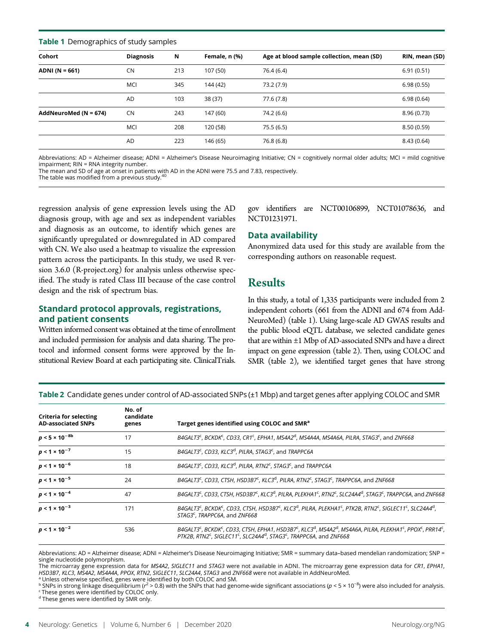### Table 1 Demographics of study samples

| Cohort                   | <b>Diagnosis</b> | N   | Female, n (%) | Age at blood sample collection, mean (SD) | RIN, mean (SD) |
|--------------------------|------------------|-----|---------------|-------------------------------------------|----------------|
| ADNI (N = $661$ )        | <b>CN</b>        | 213 | 107 (50)      | 76.4 (6.4)                                | 6.91(0.51)     |
|                          | MCI              | 345 | 144 (42)      | 73.2 (7.9)                                | 6.98(0.55)     |
|                          | <b>AD</b>        | 103 | 38 (37)       | 77.6 (7.8)                                | 6.98(0.64)     |
| AddNeuroMed (N = $674$ ) | <b>CN</b>        | 243 | 147 (60)      | 74.2 (6.6)                                | 8.96(0.73)     |
|                          | MCI              | 208 | 120 (58)      | 75.5(6.5)                                 | 8.50(0.59)     |
|                          | <b>AD</b>        | 223 | 146 (65)      | 76.8 (6.8)                                | 8.43(0.64)     |
|                          |                  |     |               |                                           |                |

Abbreviations: AD = Alzheimer disease; ADNI = Alzheimer's Disease Neuroimaging Initiative; CN = cognitively normal older adults; MCI = mild cognitive impairment; RIN = RNA integrity number.

The mean and SD of age at onset in patients with AD in the ADNI were 75.5 and 7.83, respectively.

The table was modified from a previous study. $\epsilon$ 

regression analysis of gene expression levels using the AD diagnosis group, with age and sex as independent variables and diagnosis as an outcome, to identify which genes are significantly upregulated or downregulated in AD compared with CN. We also used a heatmap to visualize the expression pattern across the participants. In this study, we used R version 3.6.0 [\(R-project.org](http://www.R-project.org)) for analysis unless otherwise specified. The study is rated Class III because of the case control design and the risk of spectrum bias.

# Standard protocol approvals, registrations, and patient consents

Written informed consent was obtained at the time of enrollment and included permission for analysis and data sharing. The protocol and informed consent forms were approved by the Institutional Review Board at each participating site. [ClinicalTrials.](http://ClinicalTrials.gov)

[gov](http://ClinicalTrials.gov) identifiers are NCT00106899, NCT01078636, and NCT01231971.

### Data availability

Anonymized data used for this study are available from the corresponding authors on reasonable request.

# Results

In this study, a total of 1,335 participants were included from 2 independent cohorts (661 from the ADNI and 674 from Add-NeuroMed) (table 1). Using large-scale AD GWAS results and the public blood eQTL database, we selected candidate genes that are within  $\pm 1$  Mbp of AD-associated SNPs and have a direct impact on gene expression (table 2). Then, using COLOC and SMR (table 2), we identified target genes that have strong

Table 2 Candidate genes under control of AD-associated SNPs (±1 Mbp) and target genes after applying COLOC and SMR

| <b>Criteria for selecting</b> | No. of<br>candidate |                                                                                                                                                                                                                                                                                                                                     |  |  |  |
|-------------------------------|---------------------|-------------------------------------------------------------------------------------------------------------------------------------------------------------------------------------------------------------------------------------------------------------------------------------------------------------------------------------|--|--|--|
| <b>AD-associated SNPs</b>     | genes               | Target genes identified using COLOC and SMR <sup>a</sup>                                                                                                                                                                                                                                                                            |  |  |  |
| $p < 5 \times 10^{-8b}$       | 17                  | B4GALT3 <sup>c</sup> , BCKDK <sup>c</sup> , CD33, CR1 <sup>c</sup> , EPHA1, MS4A2 <sup>d</sup> , MS4A4A, MS4A6A, PILRA, STAG3 <sup>c</sup> , and ZNF668                                                                                                                                                                             |  |  |  |
| $p < 1 \times 10^{-7}$        | 15                  | B4GALT3 <sup>c</sup> , CD33, KLC3 <sup>d</sup> , PILRA, STAG3 <sup>c</sup> , and TRAPPC6A                                                                                                                                                                                                                                           |  |  |  |
| $p < 1 \times 10^{-6}$        | 18                  | B4GALT3 <sup>c</sup> , CD33, KLC3 <sup>d</sup> , PILRA, RTN2 <sup>c</sup> , STAG3 <sup>c</sup> , and TRAPPC6A                                                                                                                                                                                                                       |  |  |  |
| $p < 1 \times 10^{-5}$        | 24                  | B4GALT3 <sup>c</sup> , CD33, CTSH, HSD3B7 <sup>c</sup> , KLC3 <sup>d</sup> , PILRA, RTN2 <sup>c</sup> , STAG3 <sup>c</sup> , TRAPPC6A, and ZNF668                                                                                                                                                                                   |  |  |  |
| $p < 1 \times 10^{-4}$        | 47                  | B4GALT3 <sup>c</sup> , CD33, CTSH, HSD3B7 <sup>c</sup> , KLC3 <sup>d</sup> , PILRA, PLEKHA1 <sup>c</sup> , RTN2 <sup>c</sup> , SLC24A4 <sup>d</sup> , STAG3 <sup>c</sup> , TRAPPC6A, and ZNF668                                                                                                                                     |  |  |  |
| $p < 1 \times 10^{-3}$        | 171                 | B4GALT3 <sup>c</sup> , BCKDK <sup>c</sup> , CD33, CTSH, HSD3B7 <sup>c</sup> , KLC3 <sup>d</sup> , PILRA, PLEKHA1 <sup>c</sup> , PTK2B, RTN2 <sup>c</sup> , SIGLEC11 <sup>c</sup> , SLC24A4 <sup>d</sup> ,<br>STAG3 <sup>c</sup> , TRAPPC6A, and ZNF668                                                                              |  |  |  |
| $p < 1 \times 10^{-2}$        | 536                 | B4GALT3 <sup>c</sup> , BCKDK <sup>c</sup> , CD33, CTSH, EPHA1, HSD3B7 <sup>c</sup> , KLC3 <sup>d</sup> , MS4A2 <sup>d</sup> , MS4A6A, PILRA, PLEKHA1 <sup>c</sup> , PPOX <sup>c</sup> , PRR14 <sup>c</sup> ,<br>PTK2B, RTN2 <sup>c</sup> , SIGLEC11 <sup>c</sup> , SLC24A4 <sup>d</sup> , STAG3 <sup>c</sup> , TRAPPC6A, and ZNF668 |  |  |  |

Abbreviations: AD = Alzheimer disease; ADNI = Alzheimer's Disease Neuroimaging Initiative; SMR = summary data–based mendelian randomization; SNP = single nucleotide polymorphism.

The microarray gene expression data for MS4A2, SIGLEC11 and STAG3 were not available in ADNI. The microarray gene expression data for CR1, EPHA1, HSD3B7, KLC3, MS4A2, MS4A4A, PPOX, RTN2, SIGLEC11, SLC24A4, STAG3 and ZNF668 were not available in AddNeuroMed. <sup>a</sup> Unless otherwise specified, genes were identified by both COLOC and SM.

<sup>b</sup> SNPs in strong linkage disequilibrium (r<sup>2</sup> > 0.8) with the SNPs that had genome-wide significant associations (p < 5 × 10<sup>−8</sup>) were also included for analysis.  $\mathrm{c}\,$  These genes were identified by COLOC only.

<sup>d</sup> These genes were identified by SMR only.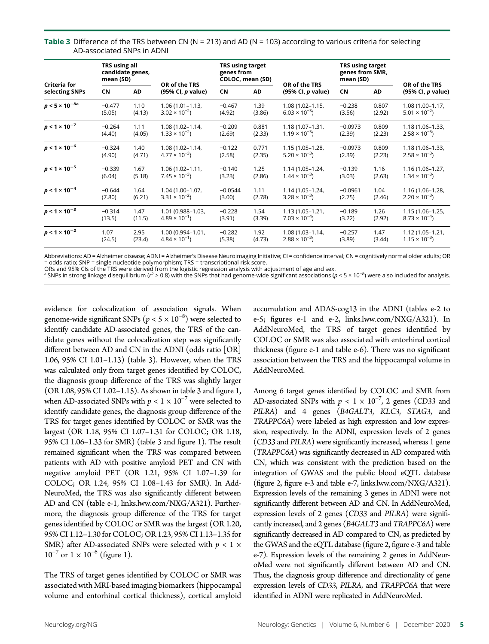| Table 3 Difference of the TRS between CN (N = 213) and AD (N = 103) according to various criteria for selecting |  |  |  |
|-----------------------------------------------------------------------------------------------------------------|--|--|--|
| AD-associated SNPs in ADNI                                                                                      |  |  |  |

| Criteria for            | TRS using all<br>candidate genes,<br>mean (SD) |        |                                    | TRS using target<br>genes from<br>COLOC, mean (SD) |        |                                    | TRS using target<br>genes from SMR,<br>mean (SD) |        |                                    |
|-------------------------|------------------------------------------------|--------|------------------------------------|----------------------------------------------------|--------|------------------------------------|--------------------------------------------------|--------|------------------------------------|
| selecting SNPs          | CN                                             | AD     | OR of the TRS<br>(95% CI, p value) | CN                                                 | AD     | OR of the TRS<br>(95% CI, p value) | <b>CN</b>                                        | AD     | OR of the TRS<br>(95% Cl, p value) |
| $p < 5 \times 10^{-8a}$ | $-0.477$                                       | 1.10   | $1.06(1.01 - 1.13,$                | $-0.467$                                           | 1.39   | 1.08 (1.02-1.15,                   | $-0.238$                                         | 0.807  | $1.08(1.00 - 1.17,$                |
|                         | (5.05)                                         | (4.13) | $3.02 \times 10^{-2}$              | (4.92)                                             | (3.86) | $6.03 \times 10^{-3}$ )            | (3.56)                                           | (2.92) | $5.01 \times 10^{-2}$              |
| $p < 1 \times 10^{-7}$  | $-0.264$                                       | 1.11   | 1.08 (1.02-1.14,                   | $-0.209$                                           | 0.881  | 1.18 (1.07-1.31,                   | $-0.0973$                                        | 0.809  | 1.18 (1.06-1.33,                   |
|                         | (4.40)                                         | (4.05) | $1.33 \times 10^{-2}$              | (2.69)                                             | (2.33) | $1.19 \times 10^{-3}$              | (2.39)                                           | (2.23) | $2.58 \times 10^{-3}$              |
| $p < 1 \times 10^{-6}$  | $-0.324$                                       | 1.40   | 1.08 (1.02-1.14,                   | $-0.122$                                           | 0.771  | 1.15 (1.05-1.28,                   | $-0.0973$                                        | 0.809  | 1.18 (1.06-1.33,                   |
|                         | (4.90)                                         | (4.71) | $4.77 \times 10^{-3}$              | (2.58)                                             | (2.35) | $5.20 \times 10^{-3}$              | (2.39)                                           | (2.23) | $2.58 \times 10^{-3}$              |
| $p < 1 \times 10^{-5}$  | $-0.339$                                       | 1.67   | $1.06(1.02 - 1.11)$                | $-0.140$                                           | 1.25   | 1.14 (1.05-1.24,                   | $-0.139$                                         | 1.16   | 1.16 (1.06-1.27,                   |
|                         | (6.04)                                         | (5.18) | $7.45 \times 10^{-3}$              | (3.23)                                             | (2.86) | $1.44 \times 10^{-3}$              | (3.03)                                           | (2.63) | $1.34 \times 10^{-3}$              |
| $p < 1 \times 10^{-4}$  | $-0.644$                                       | 1.64   | 1.04 (1.00-1.07,                   | $-0.0544$                                          | 1.11   | 1.14 (1.05-1.24,                   | $-0.0961$                                        | 1.04   | 1.16 (1.06-1.28,                   |
|                         | (7.80)                                         | (6.21) | $3.31 \times 10^{-2}$              | (3.00)                                             | (2.78) | $3.28 \times 10^{-3}$              | (2.75)                                           | (2.46) | $2.20 \times 10^{-3}$              |
| $p < 1 \times 10^{-3}$  | $-0.314$                                       | 1.47   | 1.01 (0.988-1.03,                  | $-0.228$                                           | 1.54   | $1.13(1.05 - 1.21,$                | $-0.189$                                         | 1.26   | 1.15 (1.06-1.25,                   |
|                         | (13.5)                                         | (11.5) | $4.89 \times 10^{-1}$ )            | (3.91)                                             | (3.39) | $7.03 \times 10^{-4}$              | (3.22)                                           | (2.92) | $8.73 \times 10^{-4}$ )            |
| $p < 1 \times 10^{-2}$  | 1.07                                           | 2.95   | 1.00 (0.994-1.01,                  | $-0.282$                                           | 1.92   | 1.08 (1.03-1.14,                   | $-0.257$                                         | 1.47   | 1.12 (1.05-1.21,                   |
|                         | (24.5)                                         | (23.4) | $4.84 \times 10^{-1}$              | (5.38)                                             | (4.73) | $2.88 \times 10^{-3}$              | (3.89)                                           | (3.44) | $1.15 \times 10^{-3}$              |

Abbreviations: AD = Alzheimer disease; ADNI = Alzheimer's Disease Neuroimaging Initiative; CI = confidence interval; CN = cognitively normal older adults; OR = odds ratio; SNP = single nucleotide polymorphism; TRS = transcriptional risk score.

ORs and 95% CIs of the TRS were derived from the logistic regression analysis with adjustment of age and sex.<br>ª SNPs in strong linkage disequilibrium (r<sup>2</sup> > 0.8) with the SNPs that had genome-wide significant associations

evidence for colocalization of association signals. When genome-wide significant SNPs  $(p < 5 \times 10^{-8})$  were selected to identify candidate AD-associated genes, the TRS of the canidentify candidate AD-associated genes, the TRS of the candidate genes without the colocalization step was significantly different between AD and CN in the ADNI (odds ratio [OR] 1.06, 95% CI 1.01–1.13) (table 3). However, when the TRS was calculated only from target genes identified by COLOC, the diagnosis group difference of the TRS was slightly larger (OR 1.08, 95% CI 1.02–1.15). As shown in table 3 and figure 1, when AD-associated SNPs with  $p < 1 \times 10^{-7}$  were selected to identify candidate genes, the diagnosis group difference of the TRS for target genes identified by COLOC or SMR was the largest (OR 1.18, 95% CI 1.07–1.31 for COLOC; OR 1.18, 95% CI 1.06–1.33 for SMR) (table 3 and figure 1). The result remained significant when the TRS was compared between patients with AD with positive amyloid PET and CN with negative amyloid PET (OR 1.21, 95% CI 1.07–1.39 for COLOC; OR 1.24, 95% CI 1.08–1.43 for SMR). In Add-NeuroMed, the TRS was also significantly different between AD and CN (table e-1, [links.lww.com/NXG/A321\)](http://links.lww.com/NXG/A321). Furthermore, the diagnosis group difference of the TRS for target genes identified by COLOC or SMR was the largest (OR 1.20, 95% CI 1.12–1.30 for COLOC; OR 1.23, 95% CI 1.13–1.35 for SMR) after AD-associated SNPs were selected with  $p < 1 \times$  $10^{-7}$  or  $1 \times 10^{-6}$  (figure 1).

The TRS of target genes identified by COLOC or SMR was associated with MRI-based imaging biomarkers (hippocampal volume and entorhinal cortical thickness), cortical amyloid accumulation and ADAS-cog13 in the ADNI (tables e-2 to e-5; figures e-1 and e-2, [links.lww.com/NXG/A321](http://links.lww.com/NXG/A321)). In AddNeuroMed, the TRS of target genes identified by COLOC or SMR was also associated with entorhinal cortical thickness (figure e-1 and table e-6). There was no significant association between the TRS and the hippocampal volume in AddNeuroMed.

Among 6 target genes identified by COLOC and SMR from AD-associated SNPs with  $p < 1 \times 10^{-7}$ , 2 genes (CD33 and *PII RA*) and *A genes (RACAI T3 KLC3 STAC3* and PILRA) and 4 genes (B4GALT3, KLC3, STAG3, and TRAPPC6A) were labeled as high expression and low expression, respectively. In the ADNI, expression levels of 2 genes (CD33 and PILRA) were significantly increased, whereas 1 gene (TRAPPC6A) was significantly decreased in AD compared with CN, which was consistent with the prediction based on the integration of GWAS and the public blood eQTL database (figure 2, figure e-3 and table e-7, [links.lww.com/NXG/A321\)](http://links.lww.com/NXG/A321). Expression levels of the remaining 3 genes in ADNI were not significantly different between AD and CN. In AddNeuroMed, expression levels of 2 genes (CD33 and PILRA) were significantly increased, and 2 genes (B4GALT3 and TRAPPC6A) were significantly decreased in AD compared to CN, as predicted by the GWAS and the eQTL database (figure 2, figure e-3 and table e-7). Expression levels of the remaining 2 genes in AddNeuroMed were not significantly different between AD and CN. Thus, the diagnosis group difference and directionality of gene expression levels of CD33, PILRA, and TRAPPC6A that were identified in ADNI were replicated in AddNeuroMed.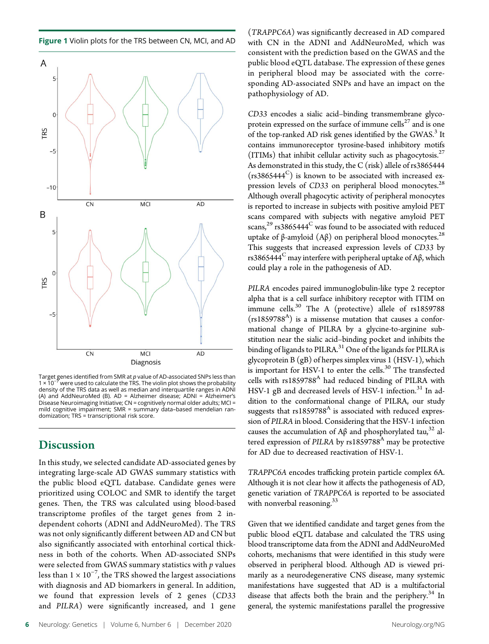



Target genes identified from SMR at p value of AD-associated SNPs less than<br>1 × 10<sup>-7</sup> were used to calculate the TRS. The violin plot shows the probability  $\tilde{V}$  were used to calculate the TRS. The violin plot shows the probability density of the TRS data as well as median and interquartile ranges in ADNI (A) and AddNeuroMed (B). AD = Alzheimer disease; ADNI = Alzheimer's Disease Neuroimaging Initiative; CN = cognitively normal older adults; MCI = mild cognitive impairment; SMR = summary data–based mendelian randomization; TRS = transcriptional risk score.

# **Discussion**

In this study, we selected candidate AD-associated genes by integrating large-scale AD GWAS summary statistics with the public blood eQTL database. Candidate genes were prioritized using COLOC and SMR to identify the target genes. Then, the TRS was calculated using blood-based transcriptome profiles of the target genes from 2 independent cohorts (ADNI and AddNeuroMed). The TRS was not only significantly different between AD and CN but also significantly associated with entorhinal cortical thickness in both of the cohorts. When AD-associated SNPs were selected from GWAS summary statistics with  $p$  values less than  $1 \times 10^{-7}$ , the TRS showed the largest associations with diagnosis and AD biomarkers in general. In addition, we found that expression levels of 2 genes (CD33 and PILRA) were significantly increased, and 1 gene (TRAPPC6A) was significantly decreased in AD compared with CN in the ADNI and AddNeuroMed, which was consistent with the prediction based on the GWAS and the public blood eQTL database. The expression of these genes in peripheral blood may be associated with the corresponding AD-associated SNPs and have an impact on the pathophysiology of AD.

CD33 encodes a sialic acid–binding transmembrane glycoprotein expressed on the surface of immune cells<sup>27</sup> and is one of the top-ranked AD risk genes identified by the GWAS.<sup>3</sup> It contains immunoreceptor tyrosine-based inhibitory motifs (ITIMs) that inhibit cellular activity such as phagocytosis.<sup>27</sup> As demonstrated in this study, the C (risk) allele of rs3865444  $(rs3865444^C)$  is known to be associated with increased expression levels of CD33 on peripheral blood monocytes.<sup>28</sup> Although overall phagocytic activity of peripheral monocytes is reported to increase in subjects with positive amyloid PET scans compared with subjects with negative amyloid PET scans, $^{29}$  rs3865444<sup>C</sup> was found to be associated with reduced uptake of β-amyloid (Aβ) on peripheral blood monocytes.<sup>28</sup> This suggests that increased expression levels of CD33 by rs3865444<sup>C</sup> may interfere with peripheral uptake of A $\beta$ , which could play a role in the pathogenesis of AD.

PILRA encodes paired immunoglobulin-like type 2 receptor alpha that is a cell surface inhibitory receptor with ITIM on immune cells.<sup>30</sup> The A (protective) allele of rs1859788 (rs1859788<sup>A</sup>) is a missense mutation that causes a conformational change of PILRA by a glycine-to-arginine substitution near the sialic acid–binding pocket and inhibits the binding of ligands to PILRA.<sup>31</sup> One of the ligands for PILRA is glycoprotein  $B(gB)$  of herpes simplex virus 1 (HSV-1), which is important for HSV-1 to enter the cells.<sup>30</sup> The transfected cells with  $rs1859788<sup>A</sup>$  had reduced binding of PILRA with HSV-1 gB and decreased levels of HSV-1 infection.<sup>31</sup> In addition to the conformational change of PILRA, our study suggests that  $rs1859788<sup>A</sup>$  is associated with reduced expression of PILRA in blood. Considering that the HSV-1 infection causes the accumulation of Aβ and phosphorylated tau,<sup>32</sup> altered expression of PILRA by  $rs1859788<sup>A</sup>$  may be protective for AD due to decreased reactivation of HSV-1.

TRAPPC6A encodes trafficking protein particle complex 6A. Although it is not clear how it affects the pathogenesis of AD, genetic variation of TRAPPC6A is reported to be associated with nonverbal reasoning.<sup>33</sup>

Given that we identified candidate and target genes from the public blood eQTL database and calculated the TRS using blood transcriptome data from the ADNI and AddNeuroMed cohorts, mechanisms that were identified in this study were observed in peripheral blood. Although AD is viewed primarily as a neurodegenerative CNS disease, many systemic manifestations have suggested that AD is a multifactorial disease that affects both the brain and the periphery. $34$  In general, the systemic manifestations parallel the progressive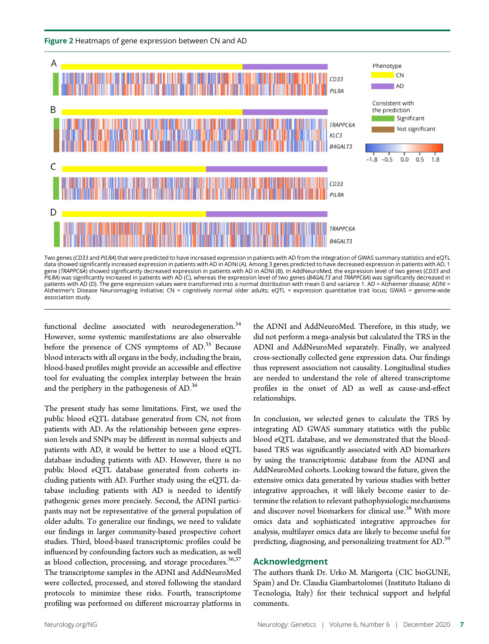Figure 2 Heatmaps of gene expression between CN and AD



Two genes (CD33 and PILRA) that were predicted to have increased expression in patients with AD from the integration of GWAS summary statistics and eQTL data showed significantly increased expression in patients with AD in ADNI (A). Among 3 genes predicted to have decreased expression in patients with AD, 1 gene (*TRAPPC6Ă*) showed significantly decreased expression in patients with AD in ADNI (B). In AddNeuroMed, the expression level of two genes (CD33 and<br>*PILRA*) was significantly increased in patients with AD (C), whereas patients with AD (D). The gene expression values were transformed into a normal distribution with mean 0 and variance 1. AD = Alzheimer disease; ADNI = Alzheimer's Disease Neuroimaging Initiative; CN = cognitively normal older adults; eQTL = expression quantitative trait locus; GWAS = genome-wide association study.

functional decline associated with neurodegeneration.<sup>34</sup> However, some systemic manifestations are also observable before the presence of CNS symptoms of AD.<sup>35</sup> Because blood interacts with all organs in the body, including the brain, blood-based profiles might provide an accessible and effective tool for evaluating the complex interplay between the brain and the periphery in the pathogenesis of AD.<sup>36</sup>

The present study has some limitations. First, we used the public blood eQTL database generated from CN, not from patients with AD. As the relationship between gene expression levels and SNPs may be different in normal subjects and patients with AD, it would be better to use a blood eQTL database including patients with AD. However, there is no public blood eQTL database generated from cohorts including patients with AD. Further study using the eQTL database including patients with AD is needed to identify pathogenic genes more precisely. Second, the ADNI participants may not be representative of the general population of older adults. To generalize our findings, we need to validate our findings in larger community-based prospective cohort studies. Third, blood-based transcriptomic profiles could be influenced by confounding factors such as medication, as well as blood collection, processing, and storage procedures.<sup>36,37</sup> The transcriptome samples in the ADNI and AddNeuroMed were collected, processed, and stored following the standard protocols to minimize these risks. Fourth, transcriptome profiling was performed on different microarray platforms in

the ADNI and AddNeuroMed. Therefore, in this study, we did not perform a mega-analysis but calculated the TRS in the ADNI and AddNeuroMed separately. Finally, we analyzed cross-sectionally collected gene expression data. Our findings thus represent association not causality. Longitudinal studies are needed to understand the role of altered transcriptome profiles in the onset of AD as well as cause-and-effect relationships.

In conclusion, we selected genes to calculate the TRS by integrating AD GWAS summary statistics with the public blood eQTL database, and we demonstrated that the bloodbased TRS was significantly associated with AD biomarkers by using the transcriptomic database from the ADNI and AddNeuroMed cohorts. Looking toward the future, given the extensive omics data generated by various studies with better integrative approaches, it will likely become easier to determine the relation to relevant pathophysiologic mechanisms and discover novel biomarkers for clinical use.<sup>38</sup> With more omics data and sophisticated integrative approaches for analysis, multilayer omics data are likely to become useful for predicting, diagnosing, and personalizing treatment for AD.<sup>39</sup>

# Acknowledgment

The authors thank Dr. Urko M. Marigorta (CIC bioGUNE, Spain) and Dr. Claudia Giambartolomei (Instituto Italiano di Tecnologia, Italy) for their technical support and helpful comments.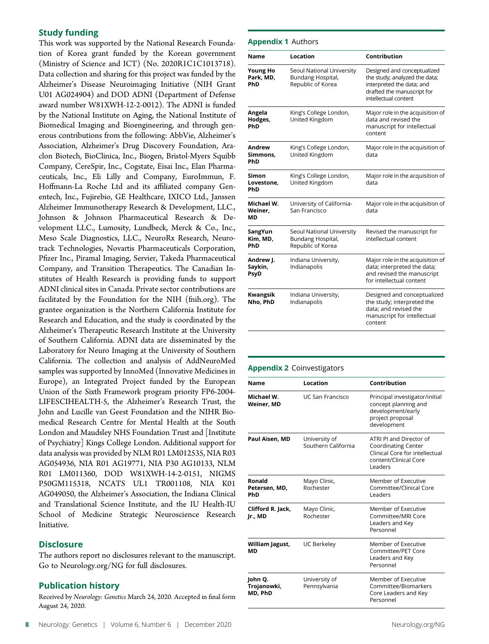# Study funding

This work was supported by the National Research Foundation of Korea grant funded by the Korean government (Ministry of Science and ICT) (No. 2020R1C1C1013718). Data collection and sharing for this project was funded by the Alzheimer's Disease Neuroimaging Initiative (NIH Grant U01 AG024904) and DOD ADNI (Department of Defense award number W81XWH-12-2-0012). The ADNI is funded by the National Institute on Aging, the National Institute of Biomedical Imaging and Bioengineering, and through generous contributions from the following: AbbVie, Alzheimer's Association, Alzheimer's Drug Discovery Foundation, Araclon Biotech, BioClinica, Inc., Biogen, Bristol-Myers Squibb Company, CereSpir, Inc., Cogstate, Eisai Inc., Elan Pharmaceuticals, Inc., Eli Lilly and Company, EuroImmun, F. Hoffmann-La Roche Ltd and its affiliated company Genentech, Inc., Fujirebio, GE Healthcare, IXICO Ltd., Janssen Alzheimer Immunotherapy Research & Development, LLC., Johnson & Johnson Pharmaceutical Research & Development LLC., Lumosity, Lundbeck, Merck & Co., Inc., Meso Scale Diagnostics, LLC., NeuroRx Research, Neurotrack Technologies, Novartis Pharmaceuticals Corporation, Pfizer Inc., Piramal Imaging, Servier, Takeda Pharmaceutical Company, and Transition Therapeutics. The Canadian Institutes of Health Research is providing funds to support ADNI clinical sites in Canada. Private sector contributions are facilitated by the Foundation for the NIH [\(fnih.org\)](http://www.fnih.org). The grantee organization is the Northern California Institute for Research and Education, and the study is coordinated by the Alzheimer's Therapeutic Research Institute at the University of Southern California. ADNI data are disseminated by the Laboratory for Neuro Imaging at the University of Southern California. The collection and analysis of AddNeuroMed samples was supported by InnoMed (Innovative Medicines in Europe), an Integrated Project funded by the European Union of the Sixth Framework program priority FP6-2004- LIFESCIHEALTH-5, the Alzheimer's Research Trust, the John and Lucille van Geest Foundation and the NIHR Biomedical Research Centre for Mental Health at the South London and Maudsley NHS Foundation Trust and [Institute of Psychiatry] Kings College London. Additional support for data analysis was provided by NLM R01 LM012535, NIA R03 AG054936, NIA R01 AG19771, NIA P30 AG10133, NLM R01 LM011360, DOD W81XWH-14-2-0151, NIGMS P50GM115318, NCATS UL1 TR001108, NIA K01 AG049050, the Alzheimer's Association, the Indiana Clinical and Translational Science Institute, and the IU Health-IU School of Medicine Strategic Neuroscience Research Initiative.

# **Disclosure**

The authors report no disclosures relevant to the manuscript. Go to [Neurology.org/NG](https://ng.neurology.org/content/6/6/e517/tab-article-info) for full disclosures.

# Publication history

Received by Neurology: Genetics March 24, 2020. Accepted in final form August 24, 2020.

# Appendix 1 Authors

| Name                                | Location                                                            | Contribution                                                                                                                                    |
|-------------------------------------|---------------------------------------------------------------------|-------------------------------------------------------------------------------------------------------------------------------------------------|
| <b>Young Ho</b><br>Park, MD,<br>PhD | Seoul National University<br>Bundang Hospital,<br>Republic of Korea | Designed and conceptualized<br>the study; analyzed the data;<br>interpreted the data; and<br>drafted the manuscript for<br>intellectual content |
| Angela<br>Hodges,<br>PhD            | King's College London,<br>United Kingdom                            | Major role in the acquisition of<br>data and revised the<br>manuscript for intellectual<br>content                                              |
| Andrew<br>Simmons,<br>PhD           | King's College London,<br>United Kingdom                            | Major role in the acquisition of<br>data                                                                                                        |
| Simon<br>Lovestone,<br>PhD          | King's College London,<br>United Kingdom                            | Major role in the acquisition of<br>data                                                                                                        |
| Michael W.<br>Weiner.<br>МD         | University of California-<br>San Francisco                          | Major role in the acquisition of<br>data                                                                                                        |
| SangYun<br>Kim, MD,<br>PhD          | Seoul National University<br>Bundang Hospital,<br>Republic of Korea | Revised the manuscript for<br>intellectual content                                                                                              |
| Andrew J.<br>Saykin,<br>PsyD        | Indiana University,<br>Indianapolis                                 | Major role in the acquisition of<br>data; interpreted the data;<br>and revised the manuscript<br>for intellectual content                       |
| <b>Kwangsik</b><br>Nho, PhD         | Indiana University,<br>Indianapolis                                 | Designed and conceptualized<br>the study; interpreted the<br>data: and revised the<br>manuscript for intellectual<br>content                    |

### Appendix 2 Coinvestigators

| <b>Name</b>                       | Location                             | Contribution                                                                                                                |  |  |
|-----------------------------------|--------------------------------------|-----------------------------------------------------------------------------------------------------------------------------|--|--|
| Michael W.<br>Weiner. MD          | <b>UC San Francisco</b>              | Principal investigator/initial<br>concept planning and<br>development/early<br>project proposal<br>development              |  |  |
| Paul Aisen, MD                    | University of<br>Southern California | ATRI PL and Director of<br><b>Coordinating Center</b><br>Clinical Core for intellectual<br>content/Clinical Core<br>Leaders |  |  |
| Ronald<br>Petersen, MD,<br>PhD    | Mayo Clinic,<br>Rochester            | Member of Executive<br>Committee/Clinical Core<br>Leaders                                                                   |  |  |
| Clifford R. Jack,<br>Ir., MD      | Mayo Clinic,<br>Rochester            | Member of Executive<br>Committee/MRI Core<br>Leaders and Key<br>Personnel                                                   |  |  |
| William Jagust,<br>МD             | <b>UC Berkeley</b>                   | Member of Executive<br>Committee/PFT Core<br>Leaders and Key<br>Personnel                                                   |  |  |
| John Q.<br>Trojanowki,<br>MD, PhD | University of<br>Pennsylvania        | Member of Executive<br>Committee/Biomarkers<br>Core Leaders and Key<br>Personnel                                            |  |  |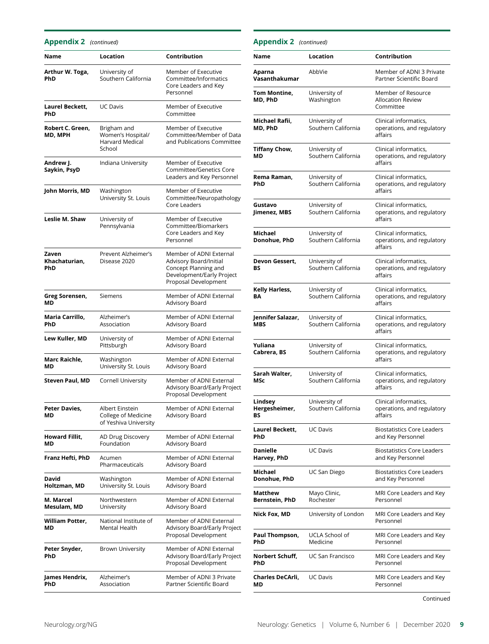| <b>Appendix 2</b> (continued) |                                                                      |                                                                                                                                |
|-------------------------------|----------------------------------------------------------------------|--------------------------------------------------------------------------------------------------------------------------------|
| Name                          | Location                                                             | Contribution                                                                                                                   |
| Arthur W. Toga,<br>PhD        | University of<br>Southern California                                 | Member of Executive<br>Committee/Informatics<br>Core Leaders and Key<br>Personnel                                              |
| Laurel Beckett,<br>PhD        | <b>UC Davis</b>                                                      | Member of Executive<br>Committee                                                                                               |
| Robert C. Green.<br>MD, MPH   | Brigham and<br>Women's Hospital/<br><b>Harvard Medical</b><br>School | Member of Executive<br>Committee/Member of Data<br>and Publications Committee                                                  |
| Andrew J.<br>Saykin, PsyD     | Indiana University                                                   | Member of Executive<br><b>Committee/Genetics Core</b><br>Leaders and Key Personnel                                             |
| John Morris, MD               | Washington<br>University St. Louis                                   | Member of Executive<br>Committee/Neuropathology<br>Core Leaders                                                                |
| Leslie M. Shaw                | University of<br>Pennsylvania                                        | Member of Executive<br>Committee/Biomarkers<br>Core Leaders and Key<br>Personnel                                               |
| Zaven<br>Khachaturian,<br>PhD | Prevent Alzheimer's<br>Disease 2020                                  | Member of ADNI External<br>Advisory Board/Initial<br>Concept Planning and<br>Development/Early Project<br>Proposal Development |
| Greg Sorensen,<br>MD          | Siemens                                                              | Member of ADNI External<br>Advisory Board                                                                                      |
| Maria Carrillo,<br>PhD        | Alzheimer's<br>Association                                           | Member of ADNI External<br>Advisory Board                                                                                      |
| Lew Kuller, MD                | University of<br>Pittsburgh                                          | Member of ADNI External<br>Advisory Board                                                                                      |
| Marc Raichle,<br>МD           | Washington<br>University St. Louis                                   | Member of ADNI External<br>Advisory Board                                                                                      |
| Steven Paul, MD               | Cornell University                                                   | Member of ADNI External<br>Advisory Board/Early Project<br>Proposal Development                                                |
| Peter Davies,<br>MD           | Albert Einstein<br>College of Medicine<br>of Yeshiva University      | Member of ADNI External<br>Advisory Board                                                                                      |
| Howard Fillit,<br>МD          | AD Drug Discovery<br>Foundation                                      | Member of ADNI External<br>Advisory Board                                                                                      |
| Franz Hefti, PhD              | Acumen<br>Pharmaceuticals                                            | Member of ADNI External<br>Advisory Board                                                                                      |
| David<br>Holtzman, MD         | Washington<br>University St. Louis                                   | Member of ADNI External<br>Advisory Board                                                                                      |
| M. Marcel<br>Mesulam, MD      | Northwestern<br>University                                           | Member of ADNI External<br>Advisory Board                                                                                      |
| William Potter,<br>MD         | National Institute of<br><b>Mental Health</b>                        | Member of ADNI External<br>Advisory Board/Early Project<br>Proposal Development                                                |
| Peter Snyder,<br>PhD          | Brown University                                                     | Member of ADNI External<br>Advisory Board/Early Project<br>Proposal Development                                                |
| James Hendrix,<br>PhD         | Alzheimer's<br>Association                                           | Member of ADNI 3 Private<br>Partner Scientific Board                                                                           |

#### Appendix 2 (continued) Name Location Contribution Aparna Vasanthakumar AbbVie Member of ADNI 3 Private Partner Scientific Board Tom Montine, MD, PhD University of Washington Member of Resource Allocation Review Committee Michael Rafii, MD, PhD University of Southern California Clinical informatics, operations, and regulatory affairs Tiffany Chow, MD University of Southern California Clinical informatics, operations, and regulatory affairs Rema Raman, PhD University of Southern California Clinical informatics, operations, and regulatory affairs Gustavo Jimenez, MBS University of Southern California Clinical informatics, operations, and regulatory affairs Michael Donohue, PhD University of Southern California Clinical informatics, operations, and regulatory affairs Devon Gessert, BS University of Southern California Clinical informatics, operations, and regulatory affairs Kelly Harless, BA University of Southern California Clinical informatics, operations, and regulatory affairs Jennifer Salazar, MBS University of Southern California Clinical informatics, operations, and regulatory affairs Yuliana Cabrera, BS University of Southern California Clinical informatics, operations, and regulatory affairs Sarah Walter, MSc University of Southern California Clinical informatics, operations, and regulatory affairs Lindsey Hergesheimer, BS University of Southern California Clinical informatics, operations, and regulatory affairs Laurel Beckett, PhD UC Davis Biostatistics Core Leaders and Key Personnel Danielle Harvey, PhD UC Davis Biostatistics Core Leaders and Key Personnel Michael Donohue, PhD UC San Diego Biostatistics Core Leaders and Key Personnel Matthew Bernstein, PhD Mayo Clinic, Rochester MRI Core Leaders and Key Personnel Nick Fox, MD University of London MRI Core Leaders and Key Personnel Paul Thompson, PhD UCLA School of Medicine MRI Core Leaders and Key Personnel Norbert Schuff, PhD UC San Francisco MRI Core Leaders and Key Personnel Charles DeCArli, MD UC Davis MRI Core Leaders and Key Personnel

Continued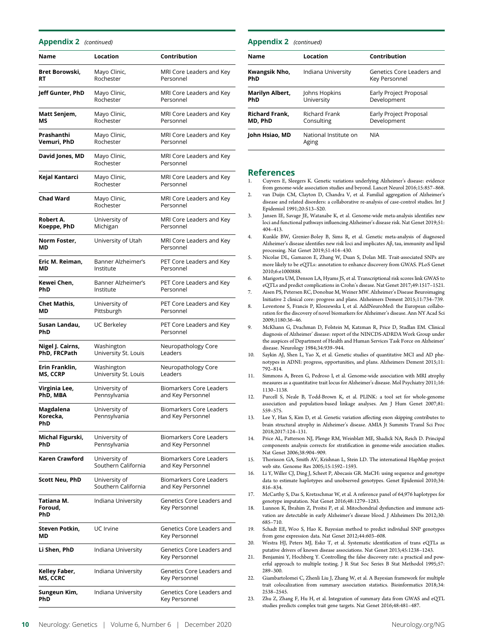### Appendix 2 (continued)

| Name                             | Location                             | Contribution                                        |
|----------------------------------|--------------------------------------|-----------------------------------------------------|
| Bret Borowski,<br>RT             | Mayo Clinic,<br>Rochester            | MRI Core Leaders and Key<br>Personnel               |
| Jeff Gunter, PhD                 | Mayo Clinic,<br>Rochester            | MRI Core Leaders and Key<br>Personnel               |
| Matt Senjem,<br>ΜS               | Mayo Clinic,<br>Rochester            | MRI Core Leaders and Key<br>Personnel               |
| Prashanthi<br>Vemuri, PhD        | Mayo Clinic,<br>Rochester            | MRI Core Leaders and Key<br>Personnel               |
| David Jones, MD                  | Mayo Clinic,<br>Rochester            | MRI Core Leaders and Key<br>Personnel               |
| Kejal Kantarci                   | Mayo Clinic,<br>Rochester            | MRI Core Leaders and Key<br>Personnel               |
| <b>Chad Ward</b>                 | Mayo Clinic,<br>Rochester            | MRI Core Leaders and Key<br>Personnel               |
| Robert A.<br>Koeppe, PhD         | University of<br>Michigan            | MRI Core Leaders and Key<br>Personnel               |
| Norm Foster,<br>МD               | University of Utah                   | MRI Core Leaders and Key<br>Personnel               |
| Eric M. Reiman,<br>МD            | Banner Alzheimer's<br>Institute      | PET Core Leaders and Key<br>Personnel               |
| Kewei Chen,<br>PhD               | Banner Alzheimer's<br>Institute      | PET Core Leaders and Key<br>Personnel               |
| Chet Mathis,<br>МD               | University of<br>Pittsburgh          | PET Core Leaders and Key<br>Personnel               |
| Susan Landau,<br>PhD             | UC Berkeley                          | PET Core Leaders and Key<br>Personnel               |
| Nigel J. Cairns,<br>PhD, FRCPath | Washington<br>University St. Louis   | Neuropathology Core<br>Leaders                      |
| Erin Franklin,<br>MS, CCRP       | Washington<br>University St. Louis   | Neuropathology Core<br>Leaders                      |
| Virginia Lee,<br>PhD, MBA        | University of<br>Pennsylvania        | Biomarkers Core Leaders<br>and Key Personnel        |
| Magdalena<br>Korecka,<br>PhD     | University of<br>Pennsylvania        | <b>Biomarkers Core Leaders</b><br>and Key Personnel |
| Michal Figurski,<br>PhD          | University of<br>Pennsylvania        | Biomarkers Core Leaders<br>and Key Personnel        |
| Karen Crawford                   | University of<br>Southern California | <b>Biomarkers Core Leaders</b><br>and Key Personnel |
| Scott Neu, PhD                   | University of<br>Southern California | Biomarkers Core Leaders<br>and Key Personnel        |
| Tatiana M.<br>Foroud,<br>PhD     | Indiana University                   | Genetics Core Leaders and<br>Key Personnel          |
| Steven Potkin,<br>МD             | UC Irvine                            | Genetics Core Leaders and<br>Key Personnel          |
| Li Shen, PhD                     | Indiana University                   | Genetics Core Leaders and<br>Key Personnel          |
| Kelley Faber,<br>MS, CCRC        | Indiana University                   | Genetics Core Leaders and<br>Key Personnel          |
| Sungeun Kim,<br>PhD              | Indiana University                   | Genetics Core Leaders and<br>Key Personnel          |

| <b>Appendix 2</b> (continued)    |                                    |                                            |  |  |
|----------------------------------|------------------------------------|--------------------------------------------|--|--|
| <b>Name</b>                      | Location                           | Contribution                               |  |  |
| Kwangsik Nho,<br>PhD             | Indiana University                 | Genetics Core Leaders and<br>Key Personnel |  |  |
| Marilyn Albert,<br>PhD           | Johns Hopkins<br>University        | Early Project Proposal<br>Development      |  |  |
| <b>Richard Frank.</b><br>MD, PhD | <b>Richard Frank</b><br>Consulting | Early Project Proposal<br>Development      |  |  |
| John Hsiao, MD                   | National Institute on<br>Aging     | <b>NIA</b>                                 |  |  |

### References

- 1. Cuyvers E, Sleegers K. Genetic variations underlying Alzheimer's disease: evidence from genome-wide association studies and beyond. Lancet Neurol 2016;15:857–868.
- van Duijn CM, Clayton D, Chandra V, et al. Familial aggregation of Alzheimer's disease and related disorders: a collaborative re-analysis of case-control studies. Int J Epidemiol 1991;20:S13–S20.
- 3. Jansen IE, Savage JE, Watanabe K, et al. Genome-wide meta-analysis identifies new loci and functional pathways influencing Alzheimer's disease risk. Nat Genet 2019;51: 404–413.
- 4. Kunkle BW, Grenier-Boley B, Sims R, et al. Genetic meta-analysis of diagnosed Alzheimer's disease identifies new risk loci and implicates Aβ, tau, immunity and lipid processing. Nat Genet 2019;51:414–430.
- 5. Nicolae DL, Gamazon E, Zhang W, Duan S, Dolan ME. Trait-associated SNPs are more likely to be eQTLs: annotation to enhance discovery from GWAS. PLoS Genet 2010;6:e1000888.
- 6. Marigorta UM, Denson LA, Hyams JS, et al. Transcriptional risk scores link GWAS to eQTLs and predict complications in Crohn's disease. Nat Genet 2017;49:1517–1521.
- 7. Aisen PS, Petersen RC, Donohue M, Weiner MW. Alzheimer's Disease Beuroimaging Initiative 2 clinical core: progress and plans. Alzheimers Dement 2015;11:734–739.
- 8. Lovestone S, Francis P, Kloszewska I, et al. AddNeuroMed: the European collaboration for the discovery of novel biomarkers for Alzheimer's disease. Ann NY Acad Sci 2009;1180:36–46.
- 9. McKhann G, Drachman D, Folstein M, Katzman R, Price D, Stadlan EM. Clinical diagnosis of Alzheimer' disease: report of the NINCDS-ADRDA Work Group under the auspices of Department of Health and Human Services Task Force on Alzheimer' disease. Neurology 1984;34:939–944.
- 10. Saykin AJ, Shen L, Yao X, et al. Genetic studies of quantitative MCI and AD phenotypes in ADNI: progress, opportunities, and plans. Alzheimers Dement 2015;11: 792–814.
- 11. Simmons A, Breen G, Pedroso I, et al. Genome-wide association with MRI atrophy measures as a quantitative trait locus for Alzheimer's disease. Mol Psychiatry 2011;16: 1130–1138.
- 12. Purcell S, Neale B, Todd-Brown K, et al. PLINK: a tool set for whole-genome association and population-based linkage analyses. Am J Hum Genet 2007;81: 559–575.
- 13. Lee Y, Han S, Kim D, et al. Genetic variation affecting exon skipping contributes to brain structural atrophy in Alzheimer's disease. AMIA Jt Summits Transl Sci Proc 2018;2017:124–131.
- 14. Price AL, Patterson NJ, Plenge RM, Weinblatt ME, Shadick NA, Reich D. Principal components analysis corrects for stratification in genome-wide association studies. Nat Genet 2006;38:904–909.
- 15. Thorisson GA, Smith AV, Krishnan L, Stein LD. The international HapMap project web site. Genome Res 2005;15:1592–1593.
- 16. Li Y, Willer CJ, Ding J, Scheet P, Abecasis GR. MaCH: using sequence and genotype data to estimate haplotypes and unobserved genotypes. Genet Epidemiol 2010;34: 816–834.
- 17. McCarthy S, Das S, Kretzschmar W, et al. A reference panel of 64,976 haplotypes for genotype imputation. Nat Genet 2016;48:1279–1283.
- 18. Lunnon K, Ibrahim Z, Proitsi P, et al. Mitochondrial dysfunction and immune activation are detectable in early Alzheimer's disease blood. J Alzheimers Dis 2012;30: 685–710.
- 19. Schadt EE, Woo S, Hao K. Bayesian method to predict individual SNP genotypes from gene expression data. Nat Genet 2012;44:603–608.
- 20. Westra HJ, Peters MJ, Esko T, et al. Systematic identification of trans eQTLs as putative drivers of known disease associations. Nat Genet 2013;45:1238–1243.
- 21. Benjamini Y, Hochberg Y. Controlling the false discovery rate: a practical and powerful approach to multiple testing. J R Stat Soc Series B Stat Methodol 1995;57: 289–300.
- 22. Giambartolomei C, Zhenli Liu J, Zhang W, et al. A Bayesian framework for multiple trait colocalization from summary association statistics. Bioinformatics 2018;34: 2538–2545.
- 23. Zhu Z, Zhang F, Hu H, et al. Integration of summary data from GWAS and eQTL studies predicts complex trait gene targets. Nat Genet 2016;48:481–487.